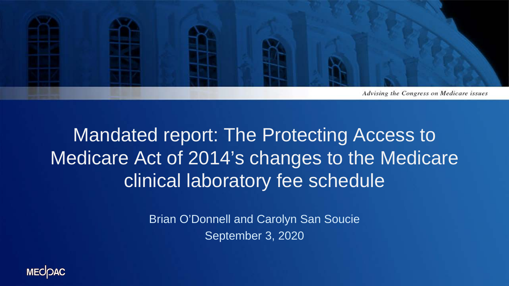

# Mandated report: The Protecting Access to Medicare Act of 2014's changes to the Medicare clinical laboratory fee schedule

Brian O'Donnell and Carolyn San Soucie September 3, 2020

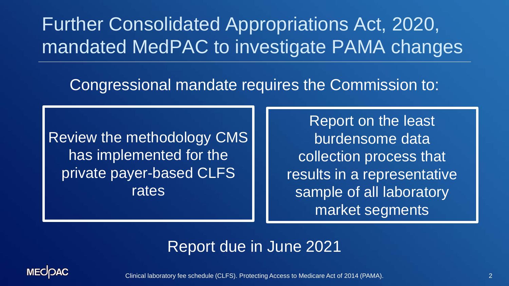Further Consolidated Appropriations Act, 2020, mandated MedPAC to investigate PAMA changes

#### Congressional mandate requires the Commission to:

Review the methodology CMS has implemented for the private payer-based CLFS rates

Report on the least burdensome data collection process that results in a representative sample of all laboratory market segments

#### Report due in June 2021



Clinical laboratory fee schedule (CLFS). Protecting Access to Medicare Act of 2014 (PAMA). 2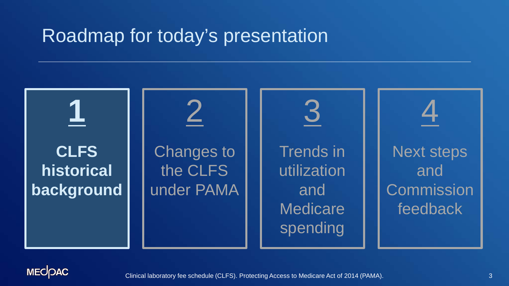

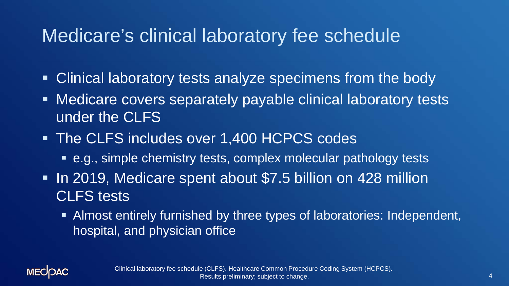## Medicare's clinical laboratory fee schedule

- Clinical laboratory tests analyze specimens from the body
- Medicare covers separately payable clinical laboratory tests under the CLFS
- **The CLFS includes over 1,400 HCPCS codes** 
	- e.g., simple chemistry tests, complex molecular pathology tests
- In 2019, Medicare spent about \$7.5 billion on 428 million CLFS tests
	- Almost entirely furnished by three types of laboratories: Independent, hospital, and physician office

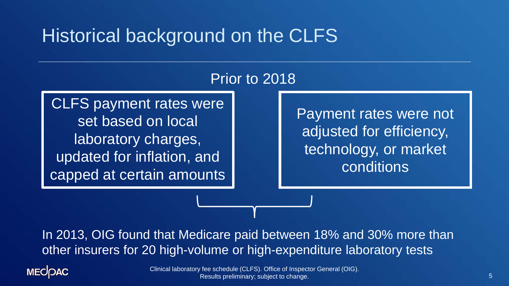# Historical background on the CLFS

#### Prior to 2018

CLFS payment rates were set based on local laboratory charges, updated for inflation, and capped at certain amounts

Payment rates were not adjusted for efficiency, technology, or market conditions

In 2013, OIG found that Medicare paid between 18% and 30% more than other insurers for 20 high-volume or high-expenditure laboratory tests

**MECOAC** 

Clinical laboratory fee schedule (CLFS). Office of Inspector General (OIG). Results preliminary; subject to change.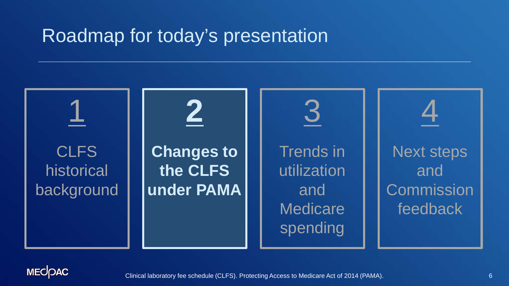

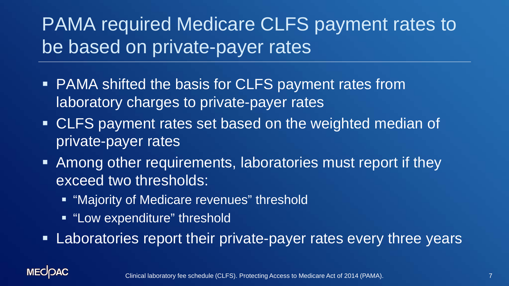# PAMA required Medicare CLFS payment rates to be based on private-payer rates

- **PAMA shifted the basis for CLFS payment rates from** laboratory charges to private-payer rates
- CLFS payment rates set based on the weighted median of private-payer rates
- Among other requirements, laboratories must report if they exceed two thresholds:
	- **E** "Majority of Medicare revenues" threshold
	- **E** "Low expenditure" threshold
- **EXA** Laboratories report their private-payer rates every three years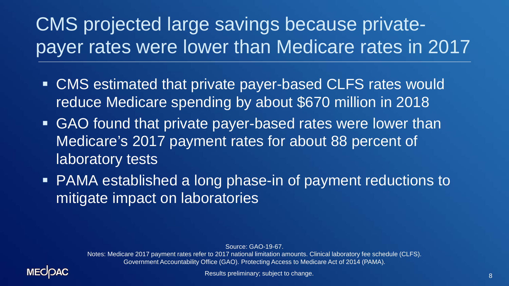# CMS projected large savings because privatepayer rates were lower than Medicare rates in 2017

- CMS estimated that private payer-based CLFS rates would reduce Medicare spending by about \$670 million in 2018
- GAO found that private payer-based rates were lower than Medicare's 2017 payment rates for about 88 percent of laboratory tests
- PAMA established a long phase-in of payment reductions to mitigate impact on laboratories

Source: GAO-19-67.

Notes: Medicare 2017 payment rates refer to 2017 national limitation amounts. Clinical laboratory fee schedule (CLFS). Government Accountability Office (GAO). Protecting Access to Medicare Act of 2014 (PAMA).

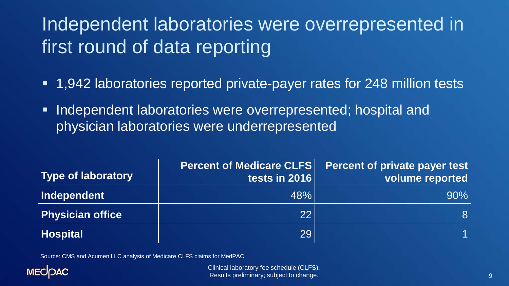# Independent laboratories were overrepresented in first round of data reporting

- 1,942 laboratories reported private-payer rates for 248 million tests
- **Independent laboratories were overrepresented; hospital and** physician laboratories were underrepresented

| <b>Type of laboratory</b> | <b>Percent of Medicare CLFS</b><br>tests in 2016 | <b>Percent of private payer test</b><br>volume reported |
|---------------------------|--------------------------------------------------|---------------------------------------------------------|
| Independent               | 48%                                              | $90\%$                                                  |
| <b>Physician office</b>   | 22                                               | 8                                                       |
| <b>Hospital</b>           | 29                                               |                                                         |

Source: CMS and Acumen LLC analysis of Medicare CLFS claims for MedPAC.



Clinical laboratory fee schedule (CLFS). Results preliminary; subject to change.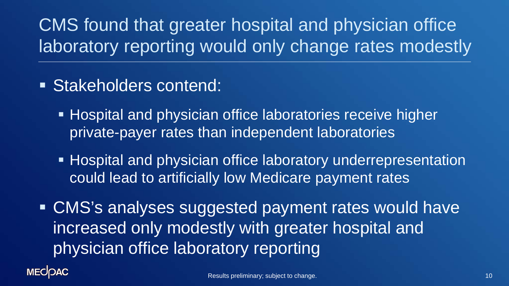# CMS found that greater hospital and physician office laboratory reporting would only change rates modestly

- Stakeholders contend:
	- **Hospital and physician office laboratories receive higher** private-payer rates than independent laboratories
	- **Hospital and physician office laboratory underrepresentation** could lead to artificially low Medicare payment rates

 CMS's analyses suggested payment rates would have increased only modestly with greater hospital and physician office laboratory reporting

**MECOAC**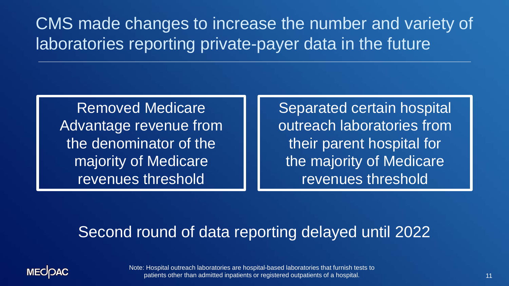CMS made changes to increase the number and variety of laboratories reporting private-payer data in the future

Removed Medicare Advantage revenue from the denominator of the majority of Medicare revenues threshold

Separated certain hospital outreach laboratories from their parent hospital for the majority of Medicare revenues threshold

#### Second round of data reporting delayed until 2022



Note: Hospital outreach laboratories are hospital-based laboratories that furnish tests to patients other than admitted inpatients or registered outpatients of a hospital.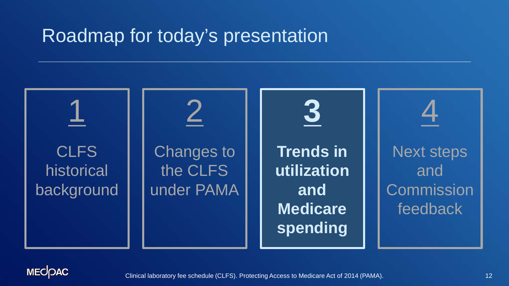1 **CLFS** historical background 2 Changes to the CLFS under PAMA 4 Next steps and **Commission** feedback **3 Trends in utilization and Medicare spending**

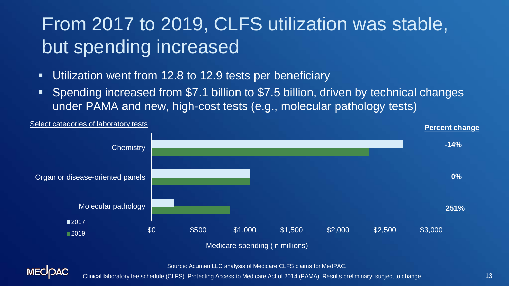# From 2017 to 2019, CLFS utilization was stable, but spending increased

Utilization went from 12.8 to 12.9 tests per beneficiary

**MECOAC** 

 Spending increased from \$7.1 billion to \$7.5 billion, driven by technical changes under PAMA and new, high-cost tests (e.g., molecular pathology tests)



Source: Acumen LLC analysis of Medicare CLFS claims for MedPAC.

Clinical laboratory fee schedule (CLFS). Protecting Access to Medicare Act of 2014 (PAMA). Results preliminary; subject to change.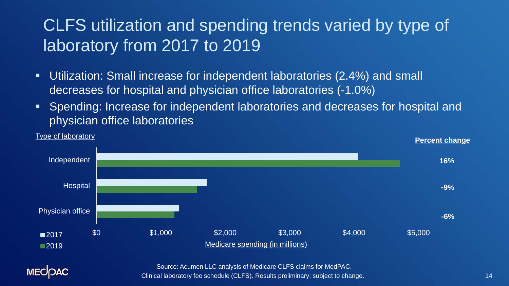### CLFS utilization and spending trends varied by type of laboratory from 2017 to 2019

- Utilization: Small increase for independent laboratories (2.4%) and small decreases for hospital and physician office laboratories (-1.0%)
- Spending: Increase for independent laboratories and decreases for hospital and physician office laboratories



14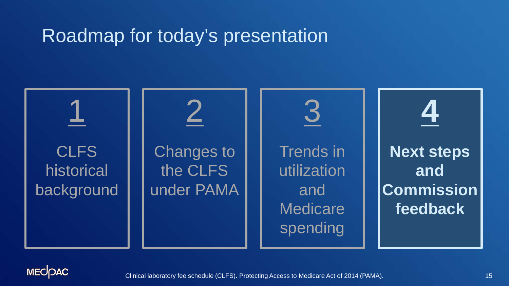

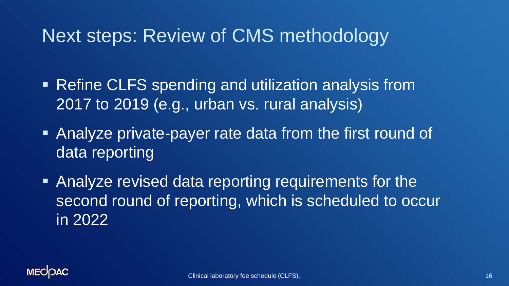## Next steps: Review of CMS methodology

- Refine CLFS spending and utilization analysis from 2017 to 2019 (e.g., urban vs. rural analysis)
- **Analyze private-payer rate data from the first round of** data reporting
- Analyze revised data reporting requirements for the second round of reporting, which is scheduled to occur in 2022

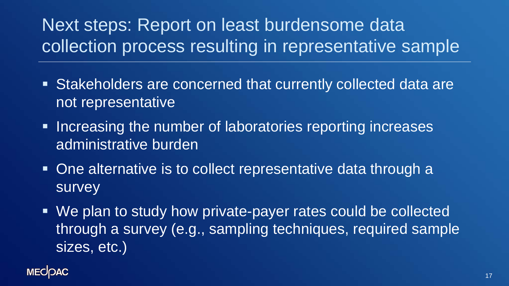# Next steps: Report on least burdensome data collection process resulting in representative sample

- Stakeholders are concerned that currently collected data are not representative
- **Increasing the number of laboratories reporting increases** administrative burden
- One alternative is to collect representative data through a survey
- We plan to study how private-payer rates could be collected through a survey (e.g., sampling techniques, required sample sizes, etc.)